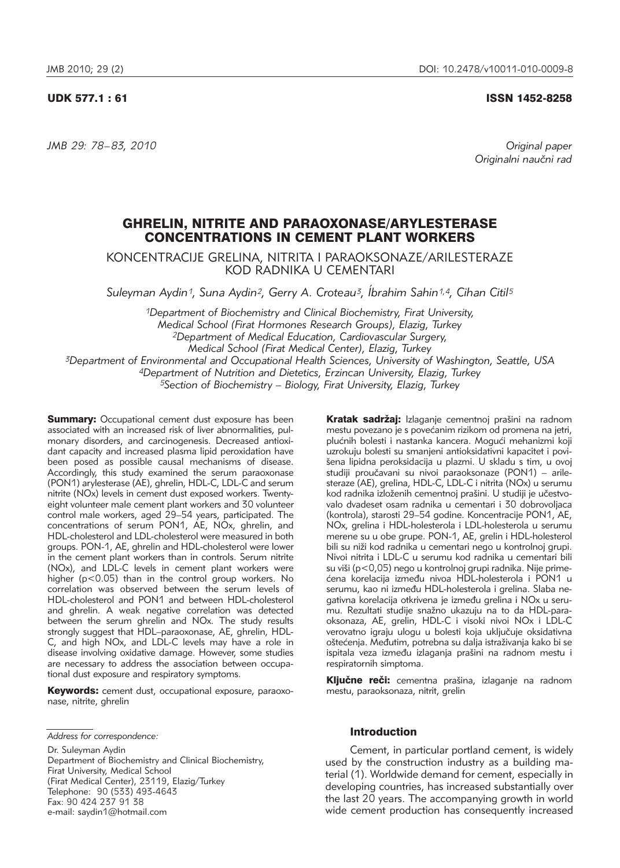## UDK 577.1 : 61 ISSN 1452-8258

*JMB 29: 78–83, 2010 Original paper*

Originalni naučni rad

# GHRELIN, NITRITE AND PARAOXONASE/ARYLESTERASE CONCENTRATIONS IN CEMENT PLANT WORKERS

KONCENTRACIJE GRELINA, NITRITA I PARAOKSONAZE/ARILESTERAZE KOD RADNIKA U CEMENTARI

*Suleyman Aydin1, Suna Aydin2, Gerry A. Croteau3, Íbrahim Sahin1,4, Cihan Citil5*

*1Department of Biochemistry and Clinical Biochemistry, Firat University, Medical School (Firat Hormones Research Groups), Elazig, Turkey 2Department of Medical Education, Cardiovascular Surgery, Medical School (Firat Medical Center), Elazig, Turkey 3Department of Environmental and Occupational Health Sciences, University of Washington, Seattle, USA 4Department of Nutrition and Dietetics, Erzincan University, Elazig, Turkey 5Section of Biochemistry – Biology, Firat University, Elazig, Turkey*

**Summary:** Occupational cement dust exposure has been associated with an increased risk of liver abnormalities, pulmonary disorders, and carcinogenesis. Decreased antioxidant capacity and increased plasma lipid peroxidation have been posed as possible causal mechanisms of disease. Accordingly, this study examined the serum paraoxonase (PON1) arylesterase (AE), ghrelin, HDL-C, LDL-C and serum nitrite (NOx) levels in cement dust exposed workers. Twentyeight volunteer male cement plant workers and 30 volunteer control male workers, aged 29-54 years, participated. The concentrations of serum PON1, AE, NOx, ghrelin, and HDL-cholesterol and LDL-cholesterol were measured in both groups. PON-1, AE, ghrelin and HDL-cholesterol were lower in the cement plant workers than in controls. Serum nitrite (NOx), and LDL-C levels in cement plant workers were higher (p<0.05) than in the control group workers. No correlation was observed between the serum levels of HDL-cholesterol and PON1 and between HDL-cholesterol and ghrelin. A weak negative correlation was detected between the serum ghrelin and NOx. The study results strongly suggest that HDL-paraoxonase, AE, ghrelin, HDL-C, and high NOx, and LDL-C levels may have a role in disease involving oxidative damage. However, some studies are necessary to address the association between occupational dust exposure and respiratory symptoms.

Keywords: cement dust, occupational exposure, paraoxonase, nitrite, ghrelin

*Address for correspondence:*

Dr. Suleyman Aydin Department of Biochemistry and Clinical Biochemistry, Firat University, Medical School (Firat Medical Center), 23119, Elazig/Turkey Telephone: 90 (533) 493-4643 Fax: 90 424 237 91 38 e-mail: saydin1@hotmail.com

Kratak sadržaj: Izlaganje cementnoj prašini na radnom mestu povezano je s povećanim rizikom od promena na jetri, plućnih bolesti i nastanka kancera. Mogući mehanizmi koji uzrokuju bolesti su smanjeni antioksidativni kapacitet i povišena lipidna peroksidacija u plazmi. U skladu s tim, u ovoj studiji proučavani su nivoi paraoksonaze (PON1) – arilesteraze (AE), grelina, HDL-C, LDL-C i nitrita (NOx) u serumu kod radnika izloženih cementnoj prašini. U studiji je učestvovalo dvadeset osam radnika u cementari i 30 dobrovoljaca (kontrola), starosti 29–54 godine. Koncentracije PON1, AE, NOx, grelina i HDL-holesterola i LDL-holesterola u serumu merene su u obe grupe. PON-1, AE, grelin i HDL-holesterol bili su niži kod radnika u cementari nego u kontrolnoj grupi. Nivoi nitrita i LDL-C u serumu kod radnika u cementari bili su viši (p<0,05) nego u kontrolnoj grupi radnika. Nije primećena korelacija između nivoa HDL-holesterola i PON1 u serumu, kao ni između HDL-holesterola i grelina. Slaba negativna korelacija otkrivena je između grelina i NOx u serumu. Rezultati studije snažno ukazuju na to da HDL-paraoksonaza, AE, grelin, HDL-C i visoki nivoi NOx i LDL-C verovatno igraju ulogu u bolesti koja uključuje oksidativna oštećenja. Međutim, potrebna su dalja istraživanja kako bi se ispitala veza između izlaganja prašini na radnom mestu i respiratornih simptoma.

Ključne reči: cementna prašina, izlaganje na radnom mestu, paraoksonaza, nitrit, grelin

# Introduction

Cement, in particular portland cement, is widely used by the construction industry as a building material (1). Worldwide demand for cement, especially in developing countries, has increased substantially over the last 20 years. The accompanying growth in world wide cement production has consequently increased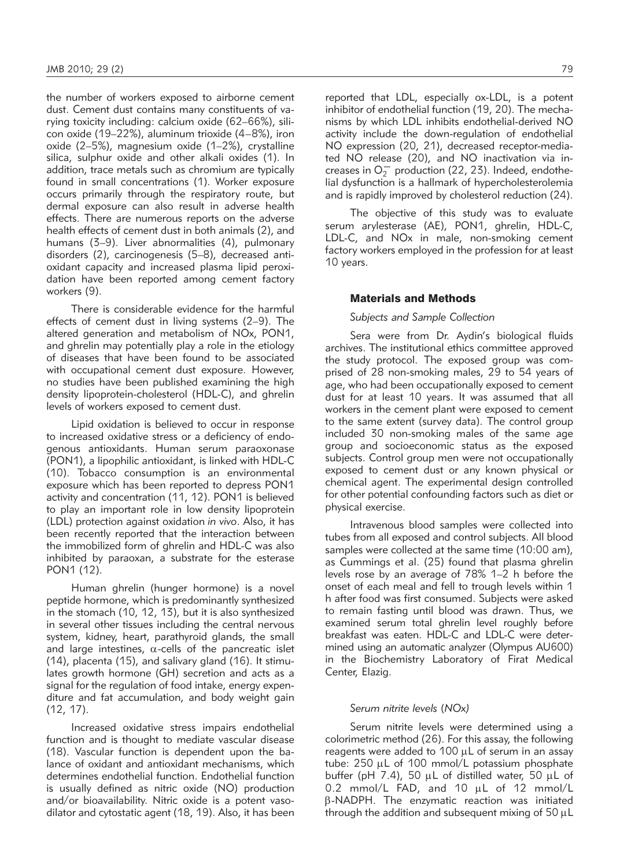the number of workers exposed to airborne cement dust. Cement dust contains many constituents of varying toxicity including: calcium oxide (62-66%), silicon oxide (19–22%), aluminum trioxide (4–8%), iron oxide  $(2-5%)$ , magnesium oxide  $(1-2%)$ , crystalline silica, sulphur oxide and other alkali oxides (1). In addition, trace metals such as chromium are typically found in small concentrations (1). Worker exposure occurs primarily through the respiratory route, but dermal exposure can also result in adverse health effects. There are numerous reports on the adverse health effects of cement dust in both animals (2), and humans (3–9). Liver abnormalities (4), pulmonary disorders (2), carcinogenesis (5-8), decreased antioxidant capacity and increased plasma lipid peroxidation have been reported among cement factory workers (9).

There is considerable evidence for the harmful effects of cement dust in living systems (2–9). The altered generation and metabolism of NOx, PON1, and ghrelin may potentially play a role in the etiology of diseases that have been found to be associated with occupational cement dust exposure. However, no studies have been published examining the high density lipoprotein-cholesterol (HDL-C), and ghrelin levels of workers exposed to cement dust.

Lipid oxidation is believed to occur in response to increased oxidative stress or a deficiency of endogenous antioxidants. Human serum paraoxonase (PON1), a lipophilic antioxidant, is linked with HDL-C (10). Tobacco consumption is an environmental exposure which has been reported to depress PON1 activity and concentration (11, 12). PON1 is believed to play an important role in low density lipoprotein (LDL) protection against oxidation *in vivo*. Also, it has been recently reported that the interaction between the immobilized form of ghrelin and HDL-C was also inhibited by paraoxan, a substrate for the esterase PON1 (12).

Human ghrelin (hunger hormone) is a novel peptide hormone, which is predominantly synthesized in the stomach (10, 12, 13), but it is also synthesized in several other tissues including the central nervous system, kidney, heart, parathyroid glands, the small and large intestines,  $\alpha$ -cells of the pancreatic islet  $(14)$ , placenta  $(15)$ , and salivary gland  $(16)$ . It stimulates growth hormone (GH) secretion and acts as a signal for the regulation of food intake, energy expenditure and fat accumulation, and body weight gain (12, 17).

Increased oxidative stress impairs endothelial function and is thought to mediate vascular disease (18). Vascular function is dependent upon the balance of oxidant and antioxidant mechanisms, which determines endothelial function. Endothelial function is usually defined as nitric oxide (NO) production and/or bioavailability. Nitric oxide is a potent vasodilator and cytostatic agent (18, 19). Also, it has been reported that LDL, especially ox-LDL, is a potent inhibitor of endothelial function (19, 20). The mechanisms by which LDL inhibits endothelial-derived NO activity include the down-regulation of endothelial NO expression (20, 21), decreased receptor-mediated NO release (20), and NO inactivation via increases in  $O_2^-$  production (22, 23). Indeed, endothelial dysfunction is a hallmark of hypercholesterolemia and is rapidly improved by cholesterol reduction (24).

The objective of this study was to evaluate serum arylesterase (AE), PON1, ghrelin, HDL-C, LDL-C, and NOx in male, non-smoking cement factory workers employed in the profession for at least 10 years.

## Materials and Methods

## *Subjects and Sample Collection*

Sera were from Dr. Aydin's biological fluids archives. The institutional ethics committee approved the study protocol. The exposed group was comprised of 28 non-smoking males, 29 to 54 years of age, who had been occupationally exposed to cement dust for at least 10 years. It was assumed that all workers in the cement plant were exposed to cement to the same extent (survey data). The control group included 30 non-smoking males of the same age group and socioeconomic status as the exposed subjects. Control group men were not occupationally exposed to cement dust or any known physical or chemical agent. The experimental design controlled for other potential confounding factors such as diet or physical exercise.

Intravenous blood samples were collected into tubes from all exposed and control subjects. All blood samples were collected at the same time (10:00 am), as Cummings et al. (25) found that plasma ghrelin levels rose by an average of 78% 1–2 h before the onset of each meal and fell to trough levels within 1 h after food was first consumed. Subjects were asked to remain fasting until blood was drawn. Thus, we examined serum total ghrelin level roughly before breakfast was eaten. HDL-C and LDL-C were determined using an automatic analyzer (Olympus AU600) in the Biochemistry Laboratory of Firat Medical Center, Elazig.

#### *Serum nitrite levels* (*NOx)*

Serum nitrite levels were determined using a colorimetric method (26). For this assay, the following reagents were added to 100  $\mu$ L of serum in an assay tube:  $250 \mu L$  of 100 mmol/L potassium phosphate buffer (pH 7.4), 50  $\mu$ L of distilled water, 50  $\mu$ L of 0.2 mmol/L FAD, and 10 µL of 12 mmol/L  $\beta$ -NADPH. The enzymatic reaction was initiated through the addition and subsequent mixing of  $50 \mu L$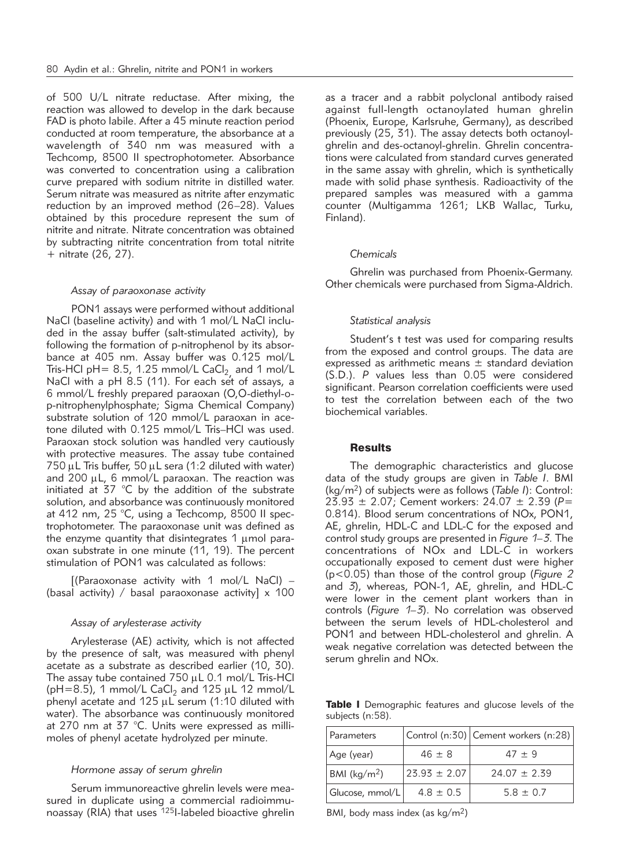of 500 U/L nitrate reductase. After mixing, the reaction was allowed to develop in the dark because FAD is photo labile. After a 45 minute reaction period conducted at room temperature, the absorbance at a wavelength of 340 nm was measured with a Techcomp, 8500 II spectrophotometer. Absorbance was converted to concentration using a calibration curve prepared with sodium nitrite in distilled water. Serum nitrate was measured as nitrite after enzymatic reduction by an improved method (26–28). Values obtained by this procedure represent the sum of nitrite and nitrate. Nitrate concentration was obtained by subtracting nitrite concentration from total nitrite + nitrate (26, 27).

#### *Assay of paraoxonase activity*

PON1 assays were performed without additional NaCl (baseline activity) and with 1 mol/L NaCl included in the assay buffer (salt-stimulated activity), by following the formation of p-nitrophenol by its absorbance at 405 nm. Assay buffer was 0.125 mol/L Tris-HCl pH= 8.5, 1.25 mmol/L CaCl<sub>2</sub> and 1 mol/L NaCl with a pH 8.5 (11). For each set of assays, a 6 mmol/L freshly prepared paraoxan (O,O-diethyl-op-nitrophenylphosphate; Sigma Chemical Company) substrate solution of 120 mmol/L paraoxan in acetone diluted with 0.125 mmol/L Tris–HCl was used. Paraoxan stock solution was handled very cautiously with protective measures. The assay tube contained  $750 \mu$ L Tris buffer,  $50 \mu$ L sera (1:2 diluted with water) and 200  $\mu$ L, 6 mmol/L paraoxan. The reaction was initiated at 37 °C by the addition of the substrate solution, and absorbance was continuously monitored at 412 nm, 25  $^{\circ}$ C, using a Techcomp, 8500 II spectrophotometer. The paraoxonase unit was defined as the enzyme quantity that disintegrates  $1 \mu$  mol paraoxan substrate in one minute (11, 19). The percent stimulation of PON1 was calculated as follows:

 $[(\text{Paraoxonase activity with 1 mol/L NaCl}) -$ (basal activity) / basal paraoxonase activity]  $\times$  100

#### *Assay of arylesterase activity*

Arylesterase (AE) activity, which is not affected by the presence of salt, was measured with phenyl acetate as a substrate as described earlier (10, 30). The assay tube contained  $750 \mu L$  0.1 mol/L Tris-HCl ( $pH=8.5$ ), 1 mmol/L CaCl<sub>2</sub> and 125  $\mu$ L 12 mmol/L phenyl acetate and  $125 \mu L$  serum (1:10 diluted with water). The absorbance was continuously monitored at 270 nm at 37 °C. Units were expressed as millimoles of phenyl acetate hydrolyzed per minute.

# *Hormone assay of serum ghrelin*

Serum immunoreactive ghrelin levels were measured in duplicate using a commercial radioimmunoassay (RIA) that uses 125I-labeled bioactive ghrelin as a tracer and a rabbit polyclonal antibody raised against full-length octanoylated human ghrelin (Phoenix, Europe, Karlsruhe, Germany), as described previously (25, 31). The assay detects both octanoylghrelin and des-octanoyl-ghrelin. Ghrelin concentrations were calculated from standard curves generated in the same assay with ghrelin, which is synthetically made with solid phase synthesis. Radioactivity of the prepared samples was measured with a gamma counter (Multigamma 1261; LKB Wallac, Turku, Finland).

# *Chemicals*

Ghrelin was purchased from Phoenix-Germany. Other chemicals were purchased from Sigma-Aldrich.

#### *Statistical analysis*

Student's t test was used for comparing results from the exposed and control groups. The data are expressed as arithmetic means  $\pm$  standard deviation (S.D.). *P* values less than 0.05 were considered significant. Pearson correlation coefficients were used to test the correlation between each of the two biochemical variables.

#### **Results**

The demographic characteristics and glucose data of the study groups are given in *Table I*. BMI (kg/m2) of subjects were as follows (*Table I*): Control: 23.93 ± 2.07; Cement workers: 24.07 ± 2.39 (*P*= 0.814). Blood serum concentrations of NOx, PON1, AE, ghrelin, HDL-C and LDL-C for the exposed and control study groups are presented in *Figure 1–3*. The concentrations of NOx and LDL-C in workers occupationally exposed to cement dust were higher (p<0.05) than those of the control group (*Figure 2* and *3*), whereas, PON-1, AE, ghrelin, and HDL-C were lower in the cement plant workers than in controls (*Figure 1–3*). No correlation was observed between the serum levels of HDL-cholesterol and PON1 and between HDL-cholesterol and ghrelin. A weak negative correlation was detected between the serum ghrelin and NOx.

Table I Demographic features and glucose levels of the subjects (n:58).

| Parameters                     |                   | Control (n:30) Cement workers (n:28) |
|--------------------------------|-------------------|--------------------------------------|
| Age (year)                     | $46 \pm 8$        | $47 + 9$                             |
| BMI ( $\text{kg}/\text{m}^2$ ) | $123.93 \pm 2.07$ | $24.07 + 2.39$                       |
| Glucose, mmol/L                | $4.8 \pm 0.5$     | $5.8 \pm 0.7$                        |

BMI, body mass index (as  $kg/m<sup>2</sup>$ )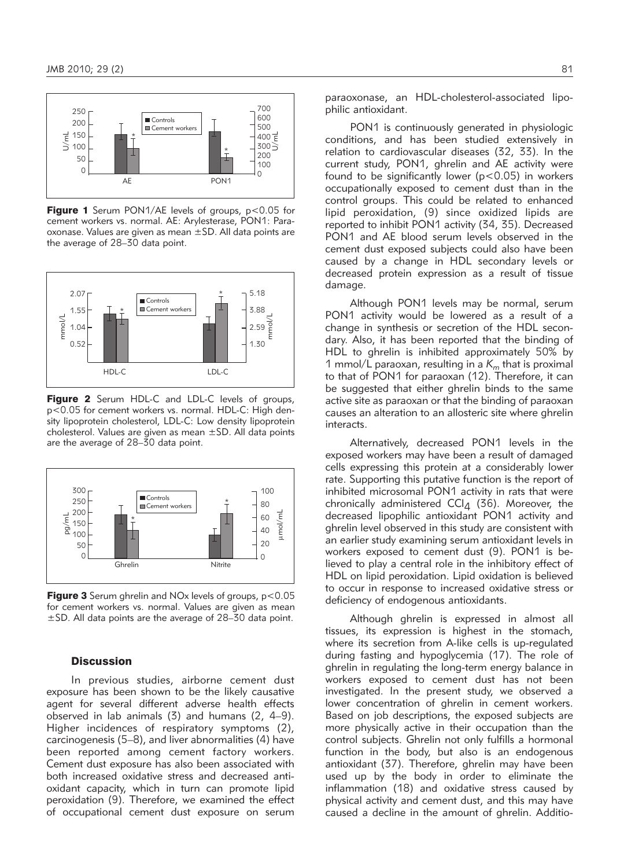

**Figure 1** Serum PON1/AE levels of groups, p<0.05 for cement workers vs. normal. AE: Arylesterase, PON1: Paraoxonase. Values are given as mean ±SD. All data points are the average of 28–30 data point.



Figure 2 Serum HDL-C and LDL-C levels of groups, p<0.05 for cement workers vs. normal. HDL-C: High density lipoprotein cholesterol, LDL-C: Low density lipoprotein cholesterol. Values are given as mean ±SD. All data points are the average of 28–30 data point.



Figure 3 Serum ghrelin and NO<sub>x</sub> levels of groups, p<0.05 for cement workers vs. normal. Values are given as mean ±SD. All data points are the average of 28–30 data point.

#### **Discussion**

In previous studies, airborne cement dust exposure has been shown to be the likely causative agent for several different adverse health effects observed in lab animals (3) and humans (2, 4–9). Higher incidences of respiratory symptoms (2), carcinogenesis (5–8), and liver abnormalities (4) have been reported among cement factory workers. Cement dust exposure has also been associated with both increased oxidative stress and decreased antioxidant capacity, which in turn can promote lipid peroxidation (9). Therefore, we examined the effect of occupational cement dust exposure on serum paraoxonase, an HDL-cholesterol-associated lipophilic antioxidant.

PON1 is continuously generated in physiologic conditions, and has been studied extensively in relation to cardiovascular diseases (32, 33). In the current study, PON1, ghrelin and AE activity were found to be significantly lower  $(p<0.05)$  in workers occupationally exposed to cement dust than in the control groups. This could be related to enhanced lipid peroxidation, (9) since oxidized lipids are reported to inhibit PON1 activity (34, 35). Decreased PON1 and AE blood serum levels observed in the cement dust exposed subjects could also have been caused by a change in HDL secondary levels or decreased protein expression as a result of tissue damage.

Although PON1 levels may be normal, serum PON1 activity would be lowered as a result of a change in synthesis or secretion of the HDL secondary. Also, it has been reported that the binding of HDL to ghrelin is inhibited approximately 50% by 1 mmol/L paraoxan, resulting in a  $K<sub>m</sub>$  that is proximal to that of PON1 for paraoxan (12). Therefore, it can be suggested that either ghrelin binds to the same active site as paraoxan or that the binding of paraoxan causes an alteration to an allosteric site where ghrelin interacts.

Alternatively, decreased PON1 levels in the exposed workers may have been a result of damaged cells expressing this protein at a considerably lower rate. Supporting this putative function is the report of inhibited microsomal PON1 activity in rats that were chronically administered  $\text{CCI}_4$  (36). Moreover, the decreased lipophilic antioxidant PON1 activity and ghrelin level observed in this study are consistent with an earlier study examining serum antioxidant levels in workers exposed to cement dust (9). PON1 is be lieved to play a central role in the inhibitory effect of HDL on lipid peroxidation. Lipid oxidation is believed to occur in response to increased oxidative stress or deficiency of endogenous antioxidants.

Although ghrelin is expressed in almost all tissues, its expression is highest in the stomach, where its secretion from A-like cells is up-regulated during fasting and hypoglycemia (17). The role of ghrelin in regulating the long-term energy balance in workers exposed to cement dust has not been investigated. In the present study, we observed a lower concentration of ghrelin in cement workers. Based on job descriptions, the exposed subjects are more physically active in their occupation than the control subjects. Ghrelin not only fulfills a hormonal function in the body, but also is an endogenous antioxidant (37). Therefore, ghrelin may have been used up by the body in order to eliminate the inflammation (18) and oxidative stress caused by physical activity and cement dust, and this may have caused a decline in the amount of ghrelin. Additio-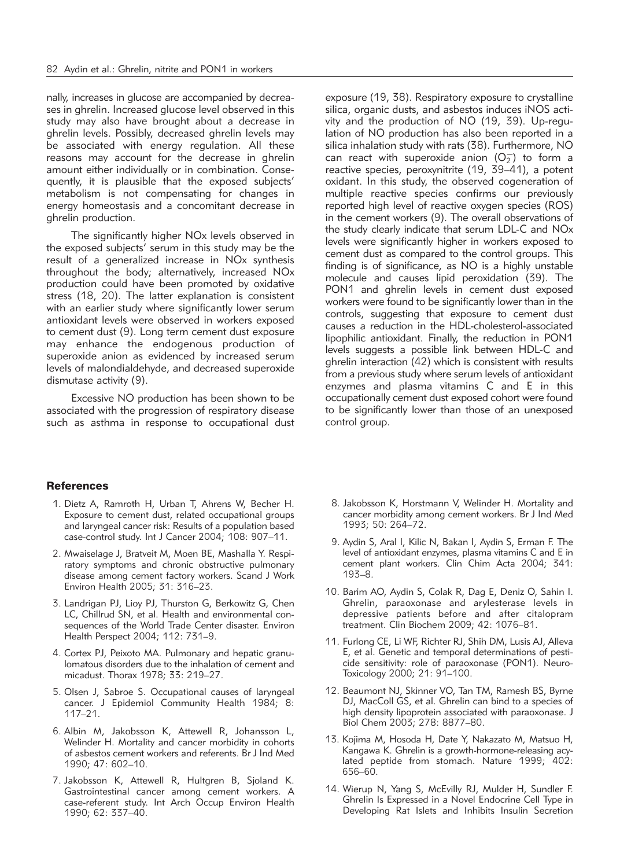nally, increases in glucose are accompanied by decreases in ghrelin. Increased glucose level observed in this study may also have brought about a decrease in ghrelin levels. Possibly, decreased ghrelin levels may be associated with energy regulation. All these reasons may account for the decrease in ghrelin amount either individually or in combination. Consequently, it is plausible that the exposed subjects' metabolism is not compensating for changes in energy homeostasis and a concomitant decrease in ghrelin production.

The significantly higher NOx levels observed in the exposed subjects' serum in this study may be the result of a generalized increase in NOx synthesis throughout the body; alternatively, increased NOx production could have been promoted by oxidative stress (18, 20). The latter explanation is consistent with an earlier study where significantly lower serum antioxidant levels were observed in workers exposed to cement dust (9). Long term cement dust exposure may enhance the endogenous production of superoxide anion as evidenced by increased serum levels of malondialdehyde, and decreased superoxide dismutase activity (9).

Excessive NO production has been shown to be associated with the progression of respiratory disease such as asthma in response to occupational dust

exposure (19, 38). Respiratory exposure to crystalline silica, organic dusts, and asbestos induces iNOS activity and the production of NO (19, 39). Up-regulation of NO production has also been reported in a silica inhalation study with rats (38). Furthermore, NO can react with superoxide anion  $(O_2^-)$  to form a reactive species, peroxynitrite (19, 39–41), a potent oxidant. In this study, the observed cogeneration of multiple reactive species confirms our previously reported high level of reactive oxygen species (ROS) in the cement workers (9). The overall observations of the study clearly indicate that serum LDL-C and NOx levels were significantly higher in workers exposed to cement dust as compared to the control groups. This finding is of significance, as NO is a highly unstable molecule and causes lipid peroxidation (39). The PON1 and ghrelin levels in cement dust exposed workers were found to be significantly lower than in the controls, suggesting that exposure to cement dust causes a reduction in the HDL-cholesterol-associated lipophilic antioxidant. Finally, the reduction in PON1 levels suggests a possible link between HDL-C and ghrelin interaction (42) which is consistent with results from a previous study where serum levels of antioxidant enzymes and plasma vitamins C and E in this occupationally cement dust exposed cohort were found to be significantly lower than those of an unexposed control group.

# **References**

- 1. Dietz A, Ramroth H, Urban T, Ahrens W, Becher H. Exposure to cement dust, related occupational groups and laryngeal cancer risk: Results of a population based case-control study. Int J Cancer 2004; 108: 907–11.
- 2. Mwaiselage J, Bratveit M, Moen BE, Mashalla Y. Respiratory symptoms and chronic obstructive pulmonary disease among cement factory workers. Scand J Work Environ Health 2005; 31: 316–23.
- 3. Landrigan PJ, Lioy PJ, Thurston G, Berkowitz G, Chen LC, Chillrud SN, et al. Health and environmental consequences of the World Trade Center disaster. Environ Health Perspect 2004; 112: 731–9.
- 4. Cortex PJ, Peixoto MA. Pulmonary and hepatic granulomatous disorders due to the inhalation of cement and micadust. Thorax 1978; 33: 219–27.
- 5. Olsen J, Sabroe S. Occupational causes of laryngeal cancer. J Epidemiol Community Health 1984; 8: 117–21.
- 6. Albin M, Jakobsson K, Attewell R, Johansson L, Welinder H. Mortality and cancer morbidity in cohorts of asbestos cement workers and referents. Br J Ind Med 1990; 47: 602–10.
- 7. Jakobsson K, Attewell R, Hultgren B, Sjoland K. Gastrointestinal cancer among cement workers. A case-referent study. Int Arch Occup Environ Health 1990; 62: 337–40.
- 8. Jakobsson K, Horstmann V, Welinder H. Mortality and cancer morbidity among cement workers. Br J Ind Med 1993; 50: 264–72.
- 9. Aydin S, Aral I, Kilic N, Bakan I, Aydin S, Erman F. The level of antioxidant enzymes, plasma vitamins C and E in cement plant workers. Clin Chim Acta 2004; 341: 193–8.
- 10. Barim AO, Aydin S, Colak R, Dag E, Deniz O, Sahin I. Ghrelin, paraoxonase and arylesterase levels in depressive patients before and after citalopram treatment. Clin Biochem 2009; 42: 1076–81.
- 11. Furlong CE, Li WF, Richter RJ, Shih DM, Lusis AJ, Alleva E, et al. Genetic and temporal determinations of pesticide sensitivity: role of paraoxonase (PON1). Neuro-Toxicology 2000; 21: 91–100.
- 12. Beaumont NJ, Skinner VO, Tan TM, Ramesh BS, Byrne DJ, MacColl GS, et al. Ghrelin can bind to a species of high density lipoprotein associated with paraoxonase. J Biol Chem 2003; 278: 8877–80.
- 13. Kojima M, Hosoda H, Date Y, Nakazato M, Matsuo H, Kangawa K. Ghrelin is a growth-hormone-releasing acylated peptide from stomach. Nature 1999; 402: 656–60.
- 14. Wierup N, Yang S, McEvilly RJ, Mulder H, Sundler F. Ghrelin Is Expressed in a Novel Endocrine Cell Type in Developing Rat Islets and Inhibits Insulin Secretion